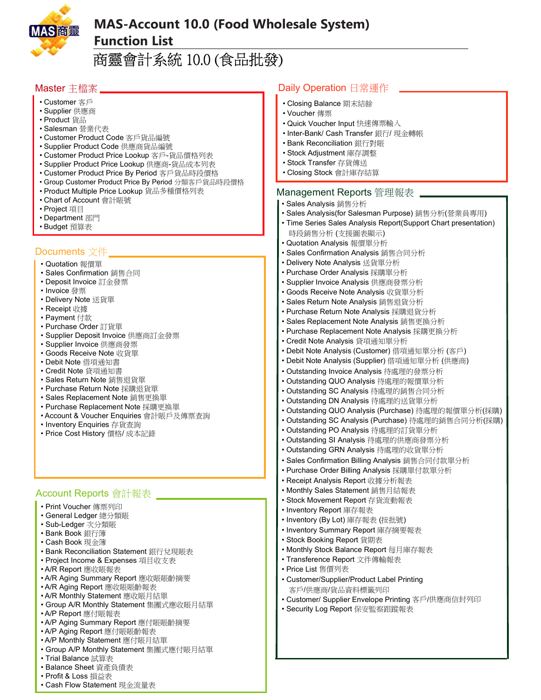

## MAS-Account 10.0 (Food Wholesale System) Function List

# 商靈會計系統 10.0 (食品批發)

## Master 主檔案

- Customer 客戶
- Supplier 供應商
- Product 貨品
- Salesman 營業代表
- Customer Product Code 客戶貨品編號
- Supplier Product Code 供應商貨品編號
- Customer Product Price Lookup 客戶-貨品價格列表
- Supplier Product Price Lookup 供應商-貨品成本列表
- Customer Product Price By Period 客戶貨品時段價格
- Group Customer Product Price By Period 分類客戶貨品時段價格
- Product Multiple Price Lookup 貨品多種價格列表
- Chart of Account 會計賬號
- Project 項目
- Department 部門
- Budget 預算表

## Documents 文件

- Quotation 報價單
- Sales Confirmation 銷售合同
- Deposit Invoice 訂金發票
- Invoice 發票
- Delivery Note 送貨單
- Receipt 收據
- Payment 付款
- Purchase Order 訂貨單
- Supplier Deposit Invoice 供應商訂金發票
- Supplier Invoice 供應商發票
- Goods Receive Note 收貨單
- Debit Note 借項通知書
- Credit Note 貸項通知書
- Sales Return Note 銷售退貨單
- Purchase Return Note 採購退貨單
- Sales Replacement Note 銷售更換單
- Purchase Replacement Note 採購更換單
- Account & Voucher Enquiries 會計賬戶及傳票查詢
- Inventory Enquiries 存貨查詢
- Price Cost History 價格/ 成本記錄

## Account Reports 會計報表

- Print Voucher 傳票列印
- General Ledger 總分類賬
- Sub-Ledger 次分類賬
- Bank Book 銀行簿
- Cash Book 現金簿
- Bank Reconciliation Statement 銀行兌現賬表
- Project Income & Expenses 項目收支表
- A/R Report 應收賬報表
- A/R Aging Summary Report 應收賬賬齡摘要
- A/R Aging Report 應收賬賬齡報表
- A/R Monthly Statement 應收賬月結單
- Group A/R Monthly Statement 集團式應收賬月結單
- A/P Report 應付賬報表
- A/P Aging Summary Report 應付賬賬齡摘要
- A/P Aging Report 應付賬賬齡報表
- A/P Monthly Statement 應付賬月結單
- Group A/P Monthly Statement 集團式應付賬月結單
- Trial Balance 試算表
- Balance Sheet 資產負債表
- Profit & Loss 損益表
- Cash Flow Statement 現金流量表

#### Daily Operation 日常運作

- Closing Balance 期末結餘
- Voucher 傳票
- Quick Voucher Input 快速傳票輸入
- Inter-Bank/ Cash Transfer 銀行/ 現金轉帳
- Bank Reconciliation 銀行對賬
- Stock Adjustment 庫存調整
- Stock Transfer 存貨傳送
- Closing Stock 會計庫存結算

#### Management Reports 管理報表

- Sales Analysis 銷售分析
- Sales Analysis(for Salesman Purpose) 銷售分析(營業員專用)
- Time Series Sales Analysis Report(Support Chart presentation) 時段銷售分析 (支援圖表顯示)
- Quotation Analysis 報價單分析
- Sales Confirmation Analysis 銷售合同分析
- Delivery Note Analysis 送貨單分析
- Purchase Order Analysis 採購單分析
- Supplier Invoice Analysis 供應商發票分析
- Goods Receive Note Analysis 收貨單分析
- Sales Return Note Analysis 銷售退貨分析
- Purchase Return Note Analysis 採購退貨分析
- Sales Replacement Note Analysis 銷售更換分析
- Purchase Replacement Note Analysis 採購更換分析
- Credit Note Analysis 貸項通知單分析
- Debit Note Analysis (Customer) 借項通知單分析 (客戶)
- Debit Note Analysis (Supplier) 借項通知單分析 (供應商)
- Outstanding Invoice Analysis 待處理的發票分析
- Outstanding QUO Analysis 待處理的報價單分析
- Outstanding SC Analysis 待處理的銷售合同分析
- Outstanding DN Analysis 待處理的送貨單分析
- Outstanding QUO Analysis (Purchase) 待處理的報價單分析(採購)
- Outstanding SC Analysis (Purchase) 待處理的銷售合同分析(採購)
- Outstanding PO Analysis 待處理的訂貨單分析
- Outstanding SI Analysis 待處理的供應商發票分析
- Outstanding GRN Analysis 待處理的收貨單分析
- Sales Confirmation Billing Analysis 銷售合同付款單分析
- Purchase Order Billing Analysis 採購單付款單分析
- Receipt Analysis Report 收據分析報表 • Monthly Sales Statement 銷售月結報表

• Stock Movement Report 存貨流動報表

• Inventory (By Lot) 庫存報表 (按批號) • Inventory Summary Report 庫存摘要報表

• Transference Report 文件傳輸報表

• Monthly Stock Balance Report 每月庫存報表

• Customer/Supplier/Product Label Printing 客戶/供應商/貨品資料標籤列印

• Security Log Report 保安監察跟蹤報表

• Customer/ Supplier Envelope Printing 客戶/供應商信封列印

• Inventory Report 庫存報表

• Stock Booking Report 貨期表

• Price List 售價列表